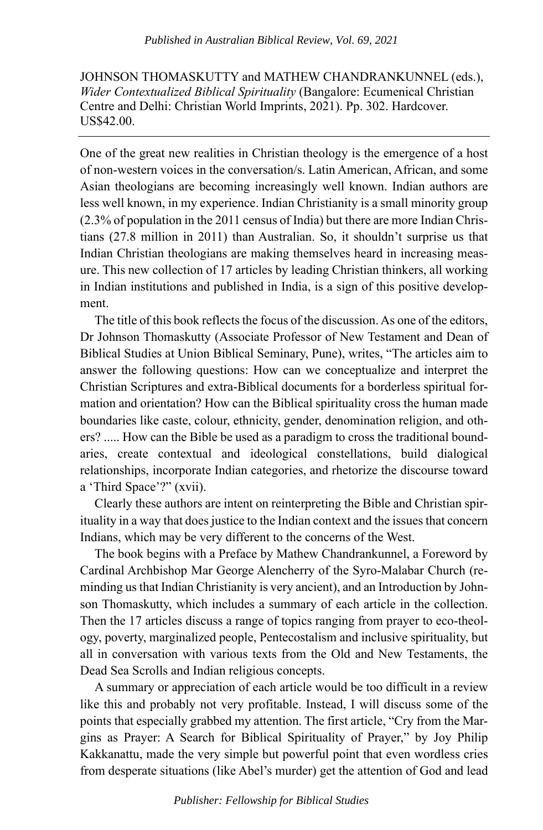JOHNSON THOMASKUTTY and MATHEW CHANDRANKUNNEL (eds.), *Wider Contextualized Biblical Spirituality* (Bangalore: Ecumenical Christian Centre and Delhi: Christian World Imprints, 2021). Pp. 302. Hardcover. US\$42.00.

One of the great new realities in Christian theology is the emergence of a host of non-western voices in the conversation/s. Latin American, African, and some Asian theologians are becoming increasingly well known. Indian authors are less well known, in my experience. Indian Christianity is a small minority group (2.3% of population in the 2011 census of India) but there are more Indian Christians (27.8 million in 2011) than Australian. So, it shouldn't surprise us that Indian Christian theologians are making themselves heard in increasing measure. This new collection of 17 articles by leading Christian thinkers, all working in Indian institutions and published in India, is a sign of this positive development.

The title of this book reflects the focus of the discussion. As one of the editors, Dr Johnson Thomaskutty (Associate Professor of New Testament and Dean of Biblical Studies at Union Biblical Seminary, Pune), writes, "The articles aim to answer the following questions: How can we conceptualize and interpret the Christian Scriptures and extra-Biblical documents for a borderless spiritual formation and orientation? How can the Biblical spirituality cross the human made boundaries like caste, colour, ethnicity, gender, denomination religion, and others? ..... How can the Bible be used as a paradigm to cross the traditional boundaries, create contextual and ideological constellations, build dialogical relationships, incorporate Indian categories, and rhetorize the discourse toward a 'Third Space'?" (xvii).

Clearly these authors are intent on reinterpreting the Bible and Christian spirituality in a way that does justice to the Indian context and the issues that concern Indians, which may be very different to the concerns of the West.

The book begins with a Preface by Mathew Chandrankunnel, a Foreword by Cardinal Archbishop Mar George Alencherry of the Syro-Malabar Church (reminding us that Indian Christianity is very ancient), and an Introduction by Johnson Thomaskutty, which includes a summary of each article in the collection. Then the 17 articles discuss a range of topics ranging from prayer to eco-theology, poverty, marginalized people, Pentecostalism and inclusive spirituality, but all in conversation with various texts from the Old and New Testaments, the Dead Sea Scrolls and Indian religious concepts.

A summary or appreciation of each article would be too difficult in a review like this and probably not very profitable. Instead, I will discuss some of the points that especially grabbed my attention. The first article, "Cry from the Margins as Prayer: A Search for Biblical Spirituality of Prayer," by Joy Philip Kakkanattu, made the very simple but powerful point that even wordless cries from desperate situations (like Abel's murder) get the attention of God and lead